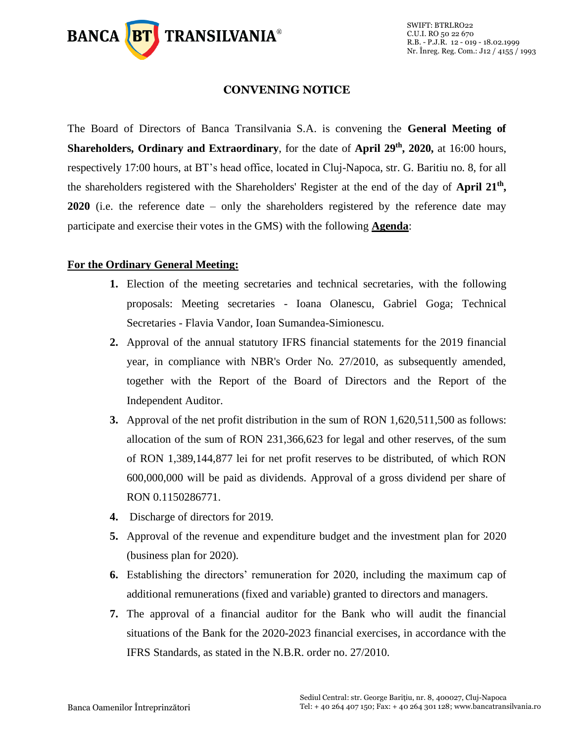

#### **CONVENING NOTICE**

The Board of Directors of Banca Transilvania S.A. is convening the **General Meeting of Shareholders, Ordinary and Extraordinary**, for the date of **April 29 th, 2020,** at 16:00 hours, respectively 17:00 hours, at BT's head office, located in Cluj-Napoca, str. G. Baritiu no. 8, for all the shareholders registered with the Shareholders' Register at the end of the day of **April 21th , 2020** (i.e. the reference date – only the shareholders registered by the reference date may participate and exercise their votes in the GMS) with the following **Agenda**:

# **For the Ordinary General Meeting:**

- **1.** Election of the meeting secretaries and technical secretaries, with the following proposals: Meeting secretaries - Ioana Olanescu, Gabriel Goga; Technical Secretaries - Flavia Vandor, Ioan Sumandea-Simionescu.
- **2.** Approval of the annual statutory IFRS financial statements for the 2019 financial year, in compliance with NBR's Order No. 27/2010, as subsequently amended, together with the Report of the Board of Directors and the Report of the Independent Auditor.
- **3.** Approval of the net profit distribution in the sum of RON 1,620,511,500 as follows: allocation of the sum of RON 231,366,623 for legal and other reserves, of the sum of RON 1,389,144,877 lei for net profit reserves to be distributed, of which RON 600,000,000 will be paid as dividends. Approval of a gross dividend per share of RON 0.1150286771.
- **4.** Discharge of directors for 2019.
- **5.** Approval of the revenue and expenditure budget and the investment plan for 2020 (business plan for 2020).
- **6.** Establishing the directors' remuneration for 2020, including the maximum cap of additional remunerations (fixed and variable) granted to directors and managers.
- **7.** The approval of a financial auditor for the Bank who will audit the financial situations of the Bank for the 2020-2023 financial exercises, in accordance with the IFRS Standards, as stated in the N.B.R. order no. 27/2010.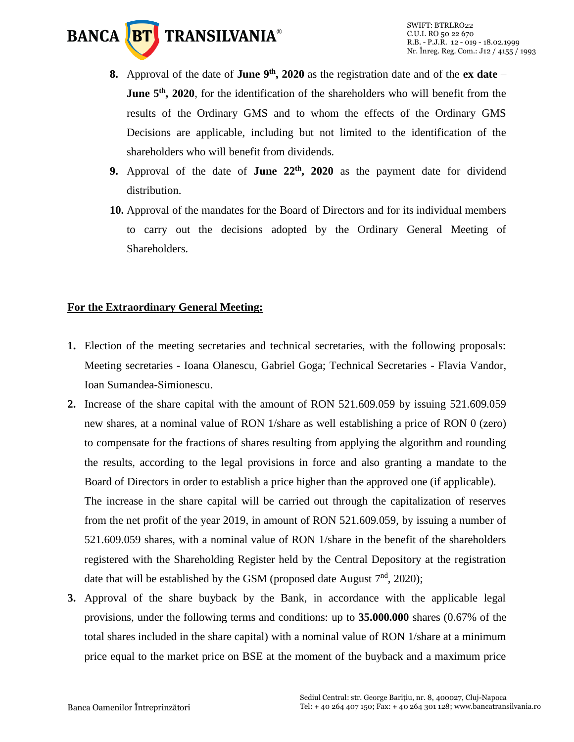

- **8.** Approval of the date of **June 9 th, 2020** as the registration date and of the **ex date June 5<sup>th</sup>**, 2020, for the identification of the shareholders who will benefit from the results of the Ordinary GMS and to whom the effects of the Ordinary GMS Decisions are applicable, including but not limited to the identification of the shareholders who will benefit from dividends.
- **9.** Approval of the date of **June 22th, 2020** as the payment date for dividend distribution.
- **10.** Approval of the mandates for the Board of Directors and for its individual members to carry out the decisions adopted by the Ordinary General Meeting of Shareholders.

# **For the Extraordinary General Meeting:**

- **1.** Election of the meeting secretaries and technical secretaries, with the following proposals: Meeting secretaries - Ioana Olanescu, Gabriel Goga; Technical Secretaries - Flavia Vandor, Ioan Sumandea-Simionescu.
- **2.** Increase of the share capital with the amount of RON 521.609.059 by issuing 521.609.059 new shares, at a nominal value of RON 1/share as well establishing a price of RON 0 (zero) to compensate for the fractions of shares resulting from applying the algorithm and rounding the results, according to the legal provisions in force and also granting a mandate to the Board of Directors in order to establish a price higher than the approved one (if applicable). The increase in the share capital will be carried out through the capitalization of reserves from the net profit of the year 2019, in amount of RON 521.609.059, by issuing a number of 521.609.059 shares, with a nominal value of RON 1/share in the benefit of the shareholders registered with the Shareholding Register held by the Central Depository at the registration date that will be established by the GSM (proposed date August  $7<sup>nd</sup>$ , 2020);
- **3.** Approval of the share buyback by the Bank, in accordance with the applicable legal provisions, under the following terms and conditions: up to **35.000.000** shares (0.67% of the total shares included in the share capital) with a nominal value of RON 1/share at a minimum price equal to the market price on BSE at the moment of the buyback and a maximum price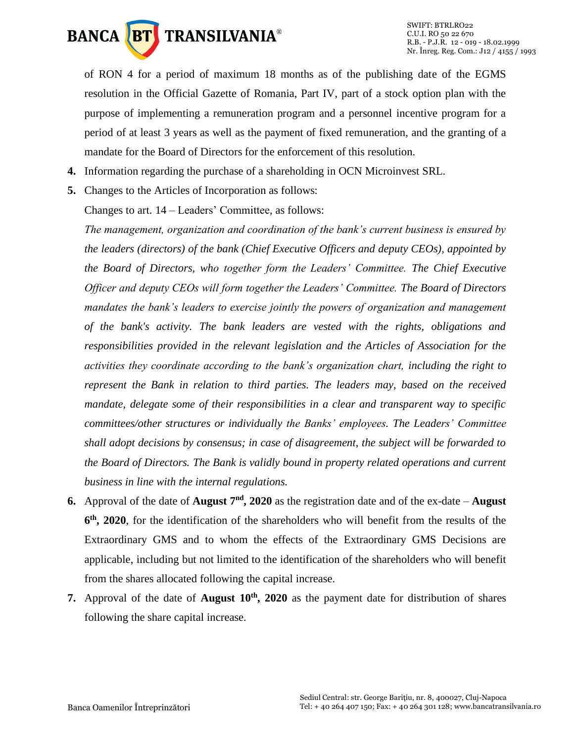

of RON 4 for a period of maximum 18 months as of the publishing date of the EGMS resolution in the Official Gazette of Romania, Part IV, part of a stock option plan with the purpose of implementing a remuneration program and a personnel incentive program for a period of at least 3 years as well as the payment of fixed remuneration, and the granting of a mandate for the Board of Directors for the enforcement of this resolution.

- **4.** Information regarding the purchase of a shareholding in OCN Microinvest SRL.
- **5.** Changes to the Articles of Incorporation as follows:

Changes to art. 14 – Leaders' Committee, as follows:

*The management, organization and coordination of the bank's current business is ensured by the leaders (directors) of the bank (Chief Executive Officers and deputy CEOs), appointed by the Board of Directors, who together form the Leaders' Committee. The Chief Executive Officer and deputy CEOs will form together the Leaders' Committee. The Board of Directors mandates the bank's leaders to exercise jointly the powers of organization and management of the bank's activity. The bank leaders are vested with the rights, obligations and responsibilities provided in the relevant legislation and the Articles of Association for the activities they coordinate according to the bank's organization chart, including the right to represent the Bank in relation to third parties. The leaders may, based on the received mandate, delegate some of their responsibilities in a clear and transparent way to specific committees/other structures or individually the Banks' employees. The Leaders' Committee shall adopt decisions by consensus; in case of disagreement, the subject will be forwarded to the Board of Directors. The Bank is validly bound in property related operations and current business in line with the internal regulations.*

- **6.** Approval of the date of **August**  $7<sup>nd</sup>$ , 2020 as the registration date and of the ex-date **August 6 th, 2020**, for the identification of the shareholders who will benefit from the results of the Extraordinary GMS and to whom the effects of the Extraordinary GMS Decisions are applicable, including but not limited to the identification of the shareholders who will benefit from the shares allocated following the capital increase.
- **7.** Approval of the date of **August 10th, 2020** as the payment date for distribution of shares following the share capital increase.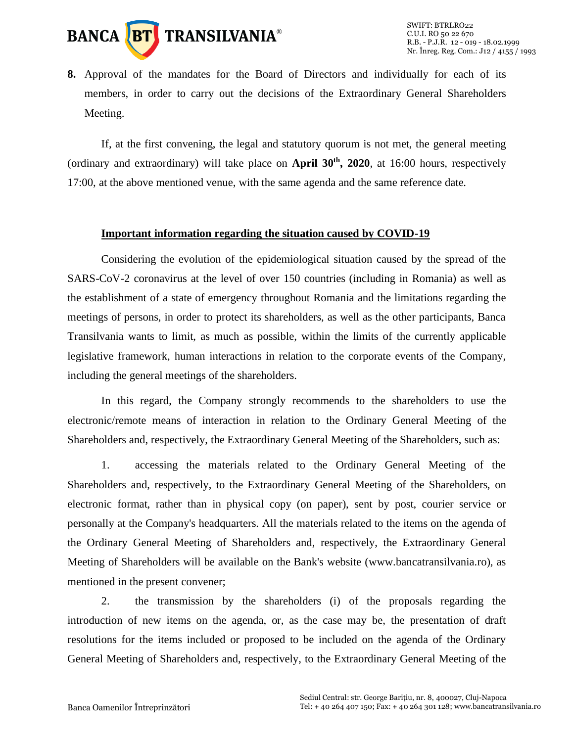

**8.** Approval of the mandates for the Board of Directors and individually for each of its members, in order to carry out the decisions of the Extraordinary General Shareholders Meeting.

If, at the first convening, the legal and statutory quorum is not met, the general meeting (ordinary and extraordinary) will take place on **April 30th, 2020**, at 16:00 hours, respectively 17:00, at the above mentioned venue, with the same agenda and the same reference date.

#### **Important information regarding the situation caused by COVID-19**

Considering the evolution of the epidemiological situation caused by the spread of the SARS-CoV-2 coronavirus at the level of over 150 countries (including in Romania) as well as the establishment of a state of emergency throughout Romania and the limitations regarding the meetings of persons, in order to protect its shareholders, as well as the other participants, Banca Transilvania wants to limit, as much as possible, within the limits of the currently applicable legislative framework, human interactions in relation to the corporate events of the Company, including the general meetings of the shareholders.

In this regard, the Company strongly recommends to the shareholders to use the electronic/remote means of interaction in relation to the Ordinary General Meeting of the Shareholders and, respectively, the Extraordinary General Meeting of the Shareholders, such as:

1. accessing the materials related to the Ordinary General Meeting of the Shareholders and, respectively, to the Extraordinary General Meeting of the Shareholders, on electronic format, rather than in physical copy (on paper), sent by post, courier service or personally at the Company's headquarters. All the materials related to the items on the agenda of the Ordinary General Meeting of Shareholders and, respectively, the Extraordinary General Meeting of Shareholders will be available on the Bank's website (www.bancatransilvania.ro), as mentioned in the present convener;

2. the transmission by the shareholders (i) of the proposals regarding the introduction of new items on the agenda, or, as the case may be, the presentation of draft resolutions for the items included or proposed to be included on the agenda of the Ordinary General Meeting of Shareholders and, respectively, to the Extraordinary General Meeting of the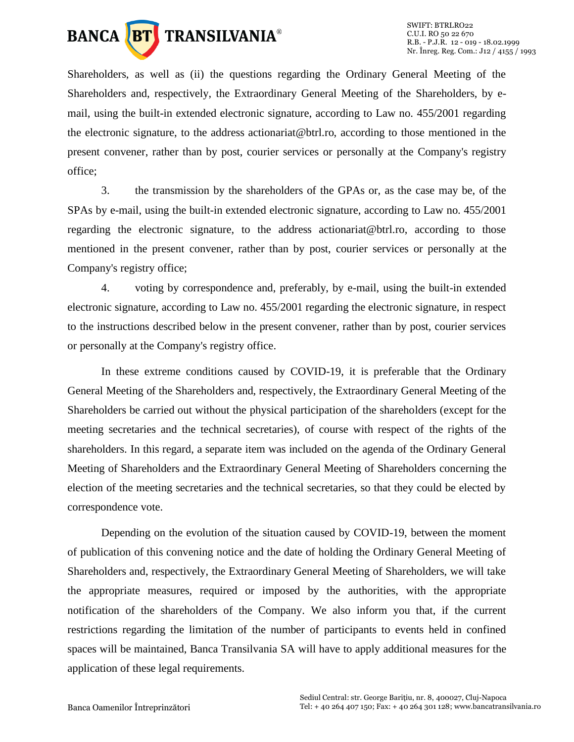

Shareholders, as well as (ii) the questions regarding the Ordinary General Meeting of the Shareholders and, respectively, the Extraordinary General Meeting of the Shareholders, by email, using the built-in extended electronic signature, according to Law no. 455/2001 regarding the electronic signature, to the address actionariat@btrl.ro, according to those mentioned in the present convener, rather than by post, courier services or personally at the Company's registry office;

3. the transmission by the shareholders of the GPAs or, as the case may be, of the SPAs by e-mail, using the built-in extended electronic signature, according to Law no. 455/2001 regarding the electronic signature, to the address actionariat@btrl.ro, according to those mentioned in the present convener, rather than by post, courier services or personally at the Company's registry office;

4. voting by correspondence and, preferably, by e-mail, using the built-in extended electronic signature, according to Law no. 455/2001 regarding the electronic signature, in respect to the instructions described below in the present convener, rather than by post, courier services or personally at the Company's registry office.

In these extreme conditions caused by COVID-19, it is preferable that the Ordinary General Meeting of the Shareholders and, respectively, the Extraordinary General Meeting of the Shareholders be carried out without the physical participation of the shareholders (except for the meeting secretaries and the technical secretaries), of course with respect of the rights of the shareholders. In this regard, a separate item was included on the agenda of the Ordinary General Meeting of Shareholders and the Extraordinary General Meeting of Shareholders concerning the election of the meeting secretaries and the technical secretaries, so that they could be elected by correspondence vote.

Depending on the evolution of the situation caused by COVID-19, between the moment of publication of this convening notice and the date of holding the Ordinary General Meeting of Shareholders and, respectively, the Extraordinary General Meeting of Shareholders, we will take the appropriate measures, required or imposed by the authorities, with the appropriate notification of the shareholders of the Company. We also inform you that, if the current restrictions regarding the limitation of the number of participants to events held in confined spaces will be maintained, Banca Transilvania SA will have to apply additional measures for the application of these legal requirements.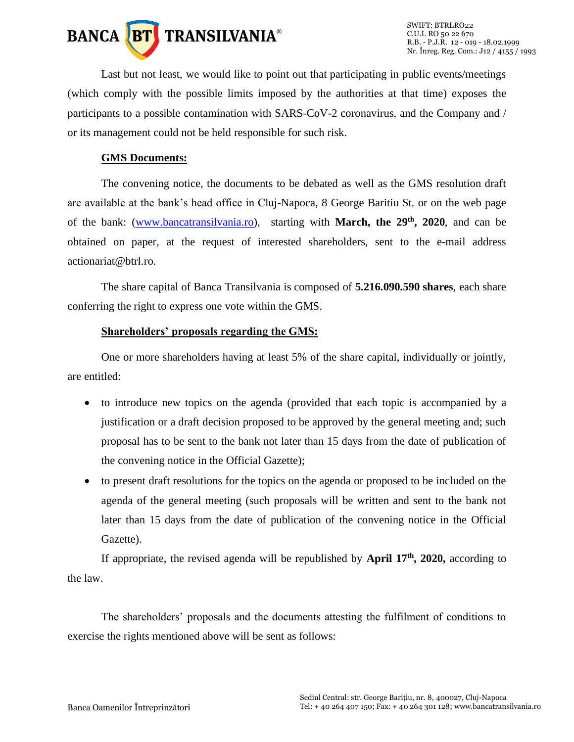

Last but not least, we would like to point out that participating in public events/meetings (which comply with the possible limits imposed by the authorities at that time) exposes the participants to a possible contamination with SARS-CoV-2 coronavirus, and the Company and / or its management could not be held responsible for such risk.

# **GMS Documents:**

The convening notice, the documents to be debated as well as the GMS resolution draft are available at the bank's head office in Cluj-Napoca, 8 George Baritiu St. or on the web page of the bank: [\(www.bancatransilvania.ro\)](http://www.bancatransilvania.ro/), starting with **March, the 29th , 2020**, and can be obtained on paper, at the request of interested shareholders, sent to the e-mail address actionariat@btrl.ro.

The share capital of Banca Transilvania is composed of **5.216.090.590 shares**, each share conferring the right to express one vote within the GMS.

#### **Shareholders' proposals regarding the GMS:**

One or more shareholders having at least 5% of the share capital, individually or jointly, are entitled:

- to introduce new topics on the agenda (provided that each topic is accompanied by a justification or a draft decision proposed to be approved by the general meeting and; such proposal has to be sent to the bank not later than 15 days from the date of publication of the convening notice in the Official Gazette);
- to present draft resolutions for the topics on the agenda or proposed to be included on the agenda of the general meeting (such proposals will be written and sent to the bank not later than 15 days from the date of publication of the convening notice in the Official Gazette).

If appropriate, the revised agenda will be republished by **April 17th, 2020,** according to the law.

The shareholders' proposals and the documents attesting the fulfilment of conditions to exercise the rights mentioned above will be sent as follows: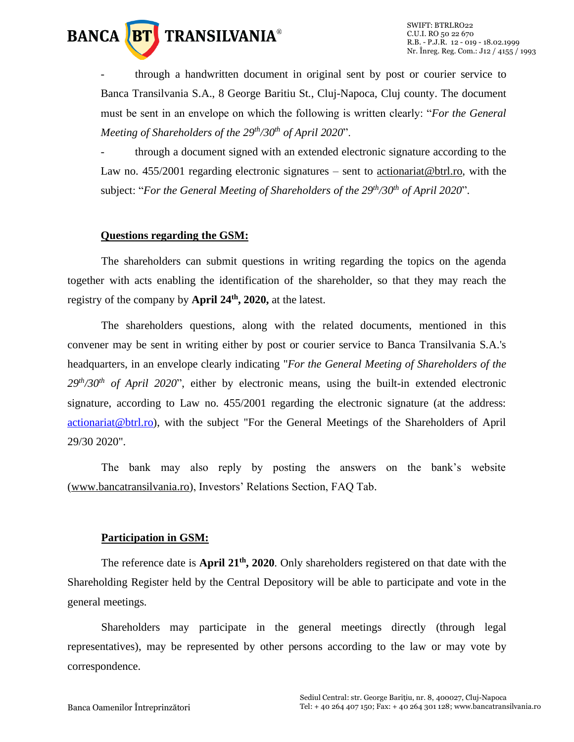

- through a handwritten document in original sent by post or courier service to Banca Transilvania S.A., 8 George Baritiu St., Cluj-Napoca, Cluj county. The document must be sent in an envelope on which the following is written clearly: "*For the General Meeting of Shareholders of the 29 th/30th of April 2020*".

through a document signed with an extended electronic signature according to the Law no.  $455/2001$  regarding electronic signatures – sent to actionariat @btrl.ro, with the subject: "For the General Meeting of Shareholders of the 29<sup>th</sup>/30<sup>th</sup> of April 2020".

#### **Questions regarding the GSM:**

The shareholders can submit questions in writing regarding the topics on the agenda together with acts enabling the identification of the shareholder, so that they may reach the registry of the company by **April 24th, 2020,** at the latest.

The shareholders questions, along with the related documents, mentioned in this convener may be sent in writing either by post or courier service to Banca Transilvania S.A.'s headquarters, in an envelope clearly indicating "*For the General Meeting of Shareholders of the 29th/30th of April 2020*", either by electronic means, using the built-in extended electronic signature, according to Law no. 455/2001 regarding the electronic signature (at the address: [actionariat@btrl.ro\)](mailto:actionariat@btrl.ro), with the subject "For the General Meetings of the Shareholders of April 29/30 2020".

The bank may also reply by posting the answers on the bank's website [\(www.bancatransilvania.ro\)](http://www.bancatransilvania.ro/), Investors' Relations Section, FAQ Tab.

#### **Participation in GSM:**

The reference date is **April 21<sup>th</sup>**, 2020. Only shareholders registered on that date with the Shareholding Register held by the Central Depository will be able to participate and vote in the general meetings.

Shareholders may participate in the general meetings directly (through legal representatives), may be represented by other persons according to the law or may vote by correspondence.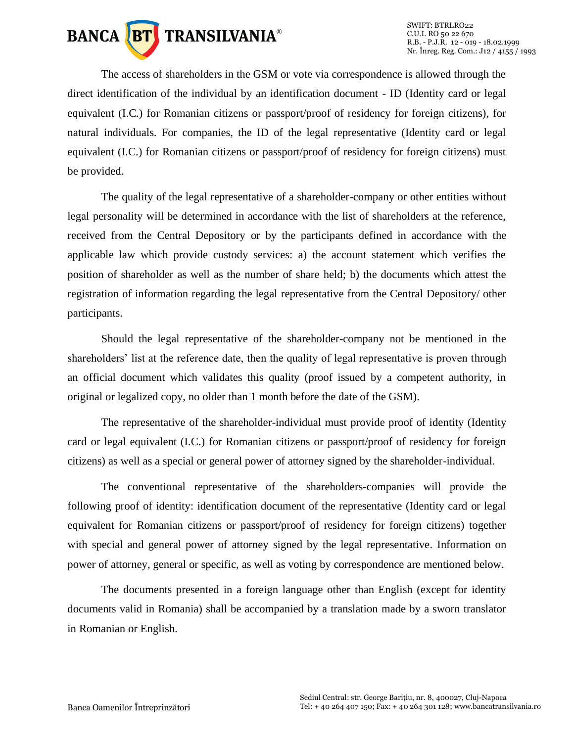

The access of shareholders in the GSM or vote via correspondence is allowed through the direct identification of the individual by an identification document - ID (Identity card or legal equivalent (I.C.) for Romanian citizens or passport/proof of residency for foreign citizens), for natural individuals. For companies, the ID of the legal representative (Identity card or legal equivalent (I.C.) for Romanian citizens or passport/proof of residency for foreign citizens) must be provided.

The quality of the legal representative of a shareholder-company or other entities without legal personality will be determined in accordance with the list of shareholders at the reference, received from the Central Depository or by the participants defined in accordance with the applicable law which provide custody services: a) the account statement which verifies the position of shareholder as well as the number of share held; b) the documents which attest the registration of information regarding the legal representative from the Central Depository/ other participants.

Should the legal representative of the shareholder-company not be mentioned in the shareholders' list at the reference date, then the quality of legal representative is proven through an official document which validates this quality (proof issued by a competent authority, in original or legalized copy, no older than 1 month before the date of the GSM).

The representative of the shareholder-individual must provide proof of identity (Identity card or legal equivalent (I.C.) for Romanian citizens or passport/proof of residency for foreign citizens) as well as a special or general power of attorney signed by the shareholder-individual.

The conventional representative of the shareholders-companies will provide the following proof of identity: identification document of the representative (Identity card or legal equivalent for Romanian citizens or passport/proof of residency for foreign citizens) together with special and general power of attorney signed by the legal representative. Information on power of attorney, general or specific, as well as voting by correspondence are mentioned below.

The documents presented in a foreign language other than English (except for identity documents valid in Romania) shall be accompanied by a translation made by a sworn translator in Romanian or English.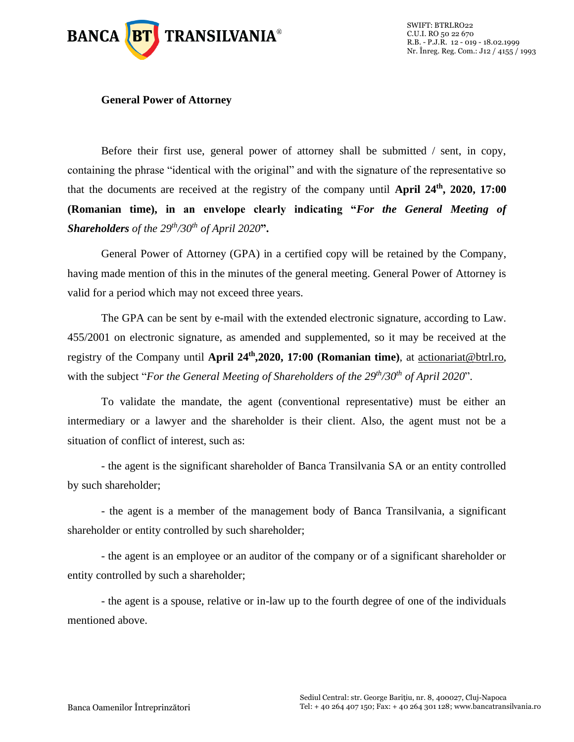

#### **General Power of Attorney**

Before their first use, general power of attorney shall be submitted / sent, in copy, containing the phrase "identical with the original" and with the signature of the representative so that the documents are received at the registry of the company until **April 24th , 2020, 17:00 (Romanian time), in an envelope clearly indicating "***For the General Meeting of Shareholders of the 29 th/30th of April 2020***".**

General Power of Attorney (GPA) in a certified copy will be retained by the Company, having made mention of this in the minutes of the general meeting. General Power of Attorney is valid for a period which may not exceed three years.

The GPA can be sent by e-mail with the extended electronic signature, according to Law. 455/2001 on electronic signature, as amended and supplemented, so it may be received at the registry of the Company until **April 24th ,2020, 17:00 (Romanian time)**, at [actionariat@btrl.ro,](mailto:actionariat@btrl.ro) with the subject "*For the General Meeting of Shareholders of the 29<sup>th</sup>/30<sup>th</sup> of April 2020".* 

To validate the mandate, the agent (conventional representative) must be either an intermediary or a lawyer and the shareholder is their client. Also, the agent must not be a situation of conflict of interest, such as:

- the agent is the significant shareholder of Banca Transilvania SA or an entity controlled by such shareholder;

- the agent is a member of the management body of Banca Transilvania, a significant shareholder or entity controlled by such shareholder;

- the agent is an employee or an auditor of the company or of a significant shareholder or entity controlled by such a shareholder;

- the agent is a spouse, relative or in-law up to the fourth degree of one of the individuals mentioned above.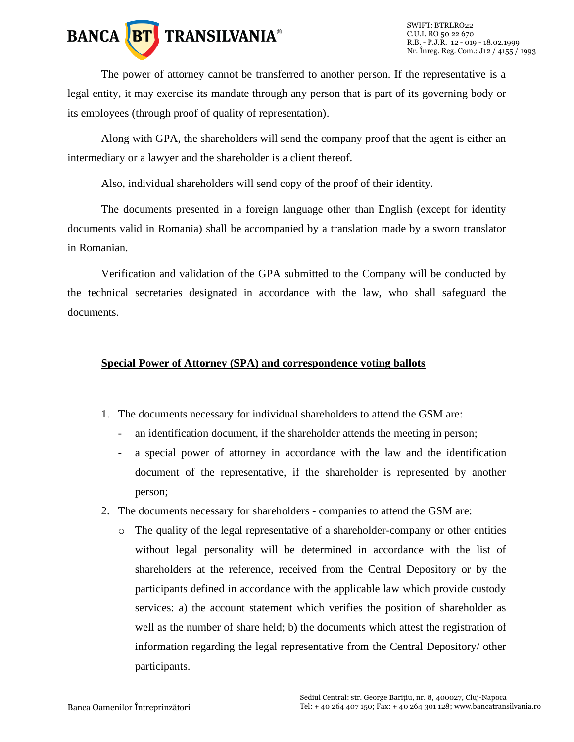

The power of attorney cannot be transferred to another person. If the representative is a legal entity, it may exercise its mandate through any person that is part of its governing body or its employees (through proof of quality of representation).

Along with GPA, the shareholders will send the company proof that the agent is either an intermediary or a lawyer and the shareholder is a client thereof.

Also, individual shareholders will send copy of the proof of their identity.

The documents presented in a foreign language other than English (except for identity documents valid in Romania) shall be accompanied by a translation made by a sworn translator in Romanian.

Verification and validation of the GPA submitted to the Company will be conducted by the technical secretaries designated in accordance with the law, who shall safeguard the documents.

# **Special Power of Attorney (SPA) and correspondence voting ballots**

- 1. The documents necessary for individual shareholders to attend the GSM are:
	- an identification document, if the shareholder attends the meeting in person;
	- a special power of attorney in accordance with the law and the identification document of the representative, if the shareholder is represented by another person;
- 2. The documents necessary for shareholders companies to attend the GSM are:
	- o The quality of the legal representative of a shareholder-company or other entities without legal personality will be determined in accordance with the list of shareholders at the reference, received from the Central Depository or by the participants defined in accordance with the applicable law which provide custody services: a) the account statement which verifies the position of shareholder as well as the number of share held; b) the documents which attest the registration of information regarding the legal representative from the Central Depository/ other participants.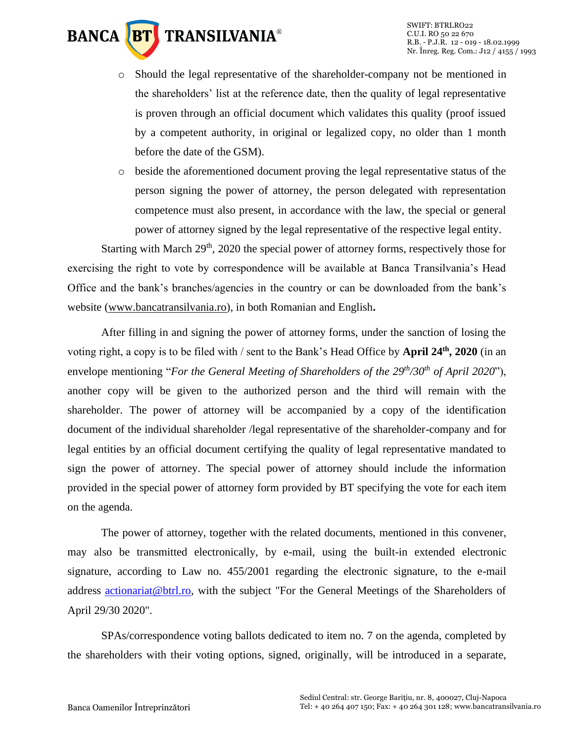# **TRANSILVANIA® BANCA BT**

- o Should the legal representative of the shareholder-company not be mentioned in the shareholders' list at the reference date, then the quality of legal representative is proven through an official document which validates this quality (proof issued by a competent authority, in original or legalized copy, no older than 1 month before the date of the GSM).
- o beside the aforementioned document proving the legal representative status of the person signing the power of attorney, the person delegated with representation competence must also present, in accordance with the law, the special or general power of attorney signed by the legal representative of the respective legal entity.

Starting with March 29<sup>th</sup>, 2020 the special power of attorney forms, respectively those for exercising the right to vote by correspondence will be available at Banca Transilvania's Head Office and the bank's branches/agencies in the country or can be downloaded from the bank's website [\(www.bancatransilvania.ro\)](http://www.bancatransilvania.ro/), in both Romanian and English**.**

After filling in and signing the power of attorney forms, under the sanction of losing the voting right, a copy is to be filed with / sent to the Bank's Head Office by **April 24th, 2020** (in an envelope mentioning "*For the General Meeting of Shareholders of the 29<sup>th</sup>/30<sup>th</sup> of April 2020"),* another copy will be given to the authorized person and the third will remain with the shareholder. The power of attorney will be accompanied by a copy of the identification document of the individual shareholder /legal representative of the shareholder-company and for legal entities by an official document certifying the quality of legal representative mandated to sign the power of attorney. The special power of attorney should include the information provided in the special power of attorney form provided by BT specifying the vote for each item on the agenda.

The power of attorney, together with the related documents, mentioned in this convener, may also be transmitted electronically, by e-mail, using the built-in extended electronic signature, according to Law no. 455/2001 regarding the electronic signature, to the e-mail address [actionariat@btrl.ro,](mailto:actionariat@btrl.ro) with the subject "For the General Meetings of the Shareholders of April 29/30 2020".

SPAs/correspondence voting ballots dedicated to item no. 7 on the agenda, completed by the shareholders with their voting options, signed, originally, will be introduced in a separate,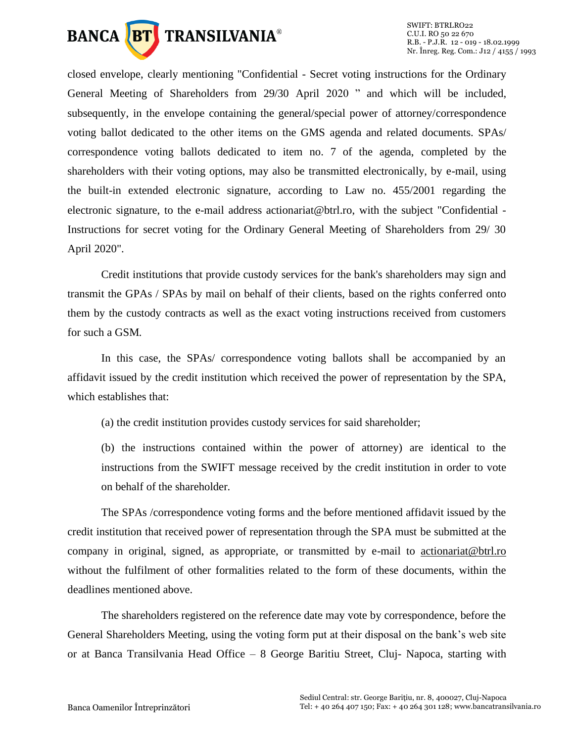

closed envelope, clearly mentioning "Confidential - Secret voting instructions for the Ordinary General Meeting of Shareholders from 29/30 April 2020 " and which will be included, subsequently, in the envelope containing the general/special power of attorney/correspondence voting ballot dedicated to the other items on the GMS agenda and related documents. SPAs/ correspondence voting ballots dedicated to item no. 7 of the agenda, completed by the shareholders with their voting options, may also be transmitted electronically, by e-mail, using the built-in extended electronic signature, according to Law no. 455/2001 regarding the electronic signature, to the e-mail address actionariat@btrl.ro, with the subject "Confidential - Instructions for secret voting for the Ordinary General Meeting of Shareholders from 29/ 30 April 2020".

Credit institutions that provide custody services for the bank's shareholders may sign and transmit the GPAs / SPAs by mail on behalf of their clients, based on the rights conferred onto them by the custody contracts as well as the exact voting instructions received from customers for such a GSM.

In this case, the SPAs/ correspondence voting ballots shall be accompanied by an affidavit issued by the credit institution which received the power of representation by the SPA, which establishes that:

(a) the credit institution provides custody services for said shareholder;

(b) the instructions contained within the power of attorney) are identical to the instructions from the SWIFT message received by the credit institution in order to vote on behalf of the shareholder.

The SPAs /correspondence voting forms and the before mentioned affidavit issued by the credit institution that received power of representation through the SPA must be submitted at the company in original, signed, as appropriate, or transmitted by e-mail to [actionariat@btrl.ro](mailto:actionariat@btrl.ro) without the fulfilment of other formalities related to the form of these documents, within the deadlines mentioned above.

The shareholders registered on the reference date may vote by correspondence, before the General Shareholders Meeting, using the voting form put at their disposal on the bank's web site or at Banca Transilvania Head Office – 8 George Baritiu Street, Cluj- Napoca, starting with